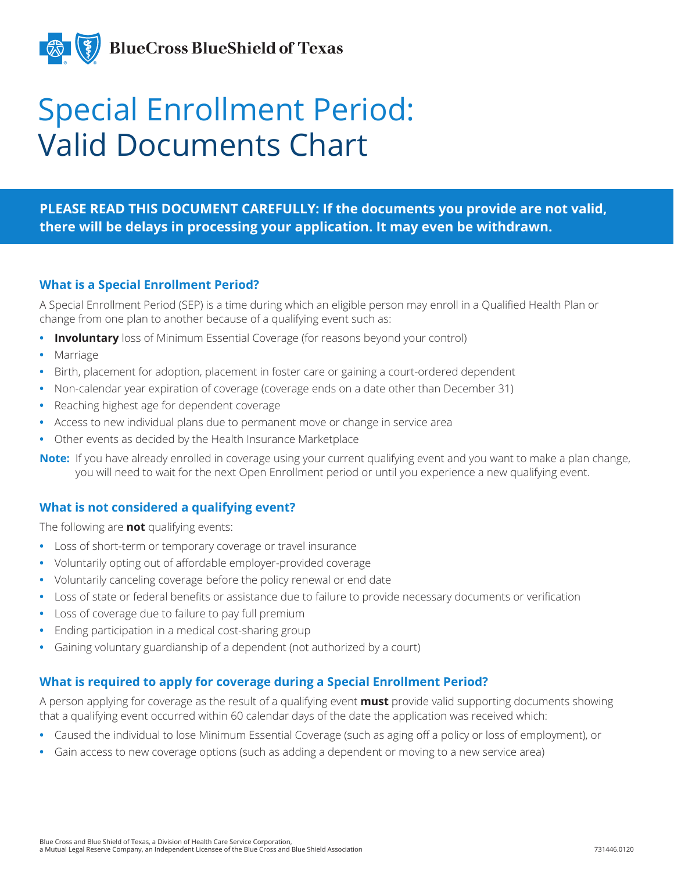

# Special Enrollment Period: Valid Documents Chart

## **PLEASE READ THIS DOCUMENT CAREFULLY: If the documents you provide are not valid, there will be delays in processing your application. It may even be withdrawn.**

#### **What is a Special Enrollment Period?**

A Special Enrollment Period (SEP) is a time during which an eligible person may enroll in a Qualified Health Plan or change from one plan to another because of a qualifying event such as:

- **Involuntary** loss of Minimum Essential Coverage (for reasons beyond your control)
- **•** Marriage
- **•** Birth, placement for adoption, placement in foster care or gaining a court-ordered dependent
- **•** Non-calendar year expiration of coverage (coverage ends on a date other than December 31)
- **•** Reaching highest age for dependent coverage
- **•** Access to new individual plans due to permanent move or change in service area
- **•** Other events as decided by the Health Insurance Marketplace
- **Note:** If you have already enrolled in coverage using your current qualifying event and you want to make a plan change, you will need to wait for the next Open Enrollment period or until you experience a new qualifying event.

## **What is not considered a qualifying event?**

The following are **not** qualifying events:

- **•** Loss of short-term or temporary coverage or travel insurance
- **•** Voluntarily opting out of affordable employer-provided coverage
- **•** Voluntarily canceling coverage before the policy renewal or end date
- **•** Loss of state or federal benefits or assistance due to failure to provide necessary documents or verification
- **•** Loss of coverage due to failure to pay full premium
- **•** Ending participation in a medical cost-sharing group
- **•** Gaining voluntary guardianship of a dependent (not authorized by a court)

## **What is required to apply for coverage during a Special Enrollment Period?**

A person applying for coverage as the result of a qualifying event **must** provide valid supporting documents showing that a qualifying event occurred within 60 calendar days of the date the application was received which:

- **•** Caused the individual to lose Minimum Essential Coverage (such as aging off a policy or loss of employment), or
- **•** Gain access to new coverage options (such as adding a dependent or moving to a new service area)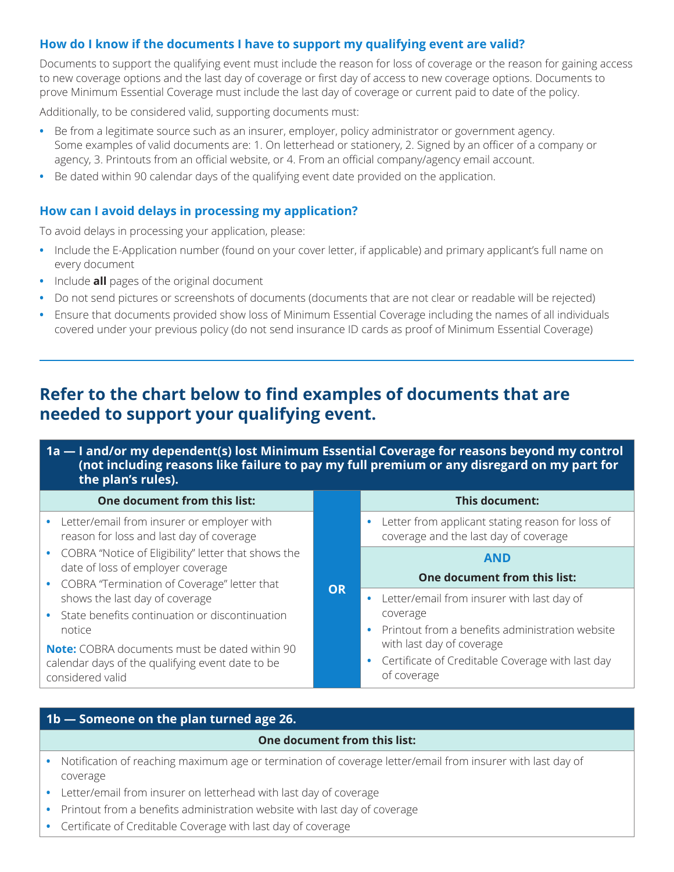## **How do I know if the documents I have to support my qualifying event are valid?**

Documents to support the qualifying event must include the reason for loss of coverage or the reason for gaining access to new coverage options and the last day of coverage or first day of access to new coverage options. Documents to prove Minimum Essential Coverage must include the last day of coverage or current paid to date of the policy.

Additionally, to be considered valid, supporting documents must:

- **•** Be from a legitimate source such as an insurer, employer, policy administrator or government agency. Some examples of valid documents are: 1. On letterhead or stationery, 2. Signed by an officer of a company or agency, 3. Printouts from an official website, or 4. From an official company/agency email account.
- **•** Be dated within 90 calendar days of the qualifying event date provided on the application.

## **How can I avoid delays in processing my application?**

To avoid delays in processing your application, please:

- **•** Include the E-Application number (found on your cover letter, if applicable) and primary applicant's full name on every document
- **•** Include **all** pages of the original document
- **•** Do not send pictures or screenshots of documents (documents that are not clear or readable will be rejected)
- **•** Ensure that documents provided show loss of Minimum Essential Coverage including the names of all individuals covered under your previous policy (do not send insurance ID cards as proof of Minimum Essential Coverage)

## **Refer to the chart below to find examples of documents that are needed to support your qualifying event.**

| 1a — I and/or my dependent(s) lost Minimum Essential Coverage for reasons beyond my control<br>(not including reasons like failure to pay my full premium or any disregard on my part for<br>the plan's rules). |           |                                                                                                           |
|-----------------------------------------------------------------------------------------------------------------------------------------------------------------------------------------------------------------|-----------|-----------------------------------------------------------------------------------------------------------|
| One document from this list:                                                                                                                                                                                    |           | This document:                                                                                            |
| Letter/email from insurer or employer with<br>reason for loss and last day of coverage                                                                                                                          | <b>OR</b> | Letter from applicant stating reason for loss of<br>$\bullet$<br>coverage and the last day of coverage    |
| • COBRA "Notice of Eligibility" letter that shows the<br>date of loss of employer coverage                                                                                                                      |           | <b>AND</b><br>One document from this list:                                                                |
| • COBRA "Termination of Coverage" letter that<br>shows the last day of coverage<br>State benefits continuation or discontinuation<br>notice                                                                     |           | Letter/email from insurer with last day of<br>coverage<br>Printout from a benefits administration website |
| <b>Note:</b> COBRA documents must be dated within 90<br>calendar days of the qualifying event date to be<br>considered valid                                                                                    |           | with last day of coverage<br>Certificate of Creditable Coverage with last day<br>$\bullet$<br>of coverage |

## **1b — Someone on the plan turned age 26.**

#### **One document from this list:**

- **•** Notification of reaching maximum age or termination of coverage letter/email from insurer with last day of coverage
- **•** Letter/email from insurer on letterhead with last day of coverage
- **•** Printout from a benefits administration website with last day of coverage
- **•** Certificate of Creditable Coverage with last day of coverage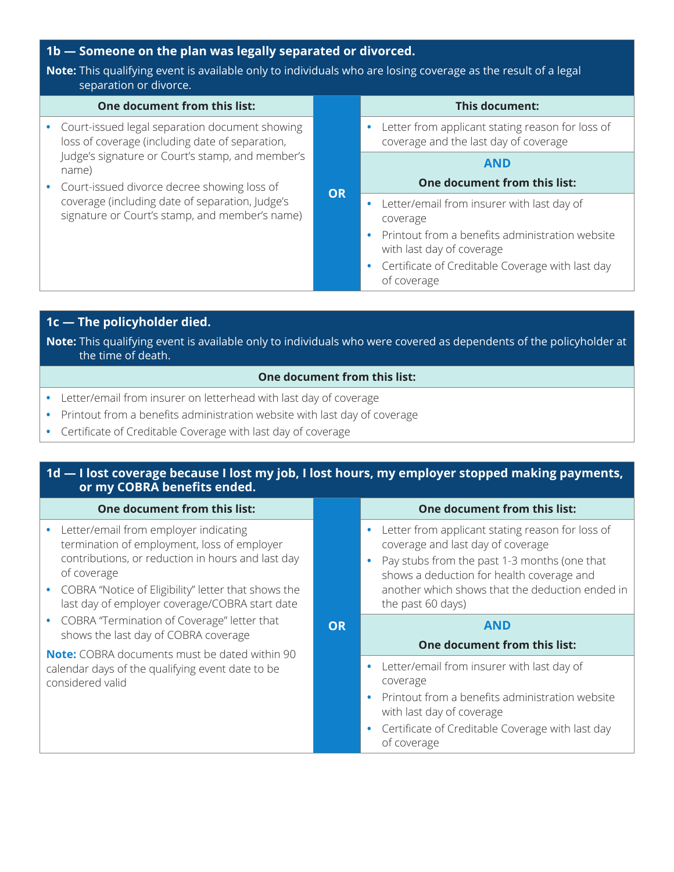## **1b — Someone on the plan was legally separated or divorced.**

#### **Note:** This qualifying event is available only to individuals who are losing coverage as the result of a legal separation or divorce.

|                                             | separacioni or anvorce:                                                                                                                                        |                                                                                                        |
|---------------------------------------------|----------------------------------------------------------------------------------------------------------------------------------------------------------------|--------------------------------------------------------------------------------------------------------|
|                                             | One document from this list:                                                                                                                                   | This document:                                                                                         |
|                                             | Court-issued legal separation document showing<br>loss of coverage (including date of separation,<br>Judge's signature or Court's stamp, and member's<br>name) | Letter from applicant stating reason for loss of<br>$\bullet$<br>coverage and the last day of coverage |
|                                             |                                                                                                                                                                | <b>AND</b>                                                                                             |
| Court-issued divorce decree showing loss of | One document from this list:                                                                                                                                   |                                                                                                        |
|                                             | <b>OR</b><br>coverage (including date of separation, Judge's<br>signature or Court's stamp, and member's name)                                                 | Letter/email from insurer with last day of<br>$\bullet$<br>coverage                                    |
|                                             |                                                                                                                                                                | Printout from a benefits administration website<br>with last day of coverage                           |
|                                             |                                                                                                                                                                | Certificate of Creditable Coverage with last day<br>of coverage                                        |
|                                             |                                                                                                                                                                |                                                                                                        |

## **1c — The policyholder died.**

**Note:** This qualifying event is available only to individuals who were covered as dependents of the policyholder at the time of death.

#### **One document from this list:**

- **•** Letter/email from insurer on letterhead with last day of coverage
- **•** Printout from a benefits administration website with last day of coverage
- **•** Certificate of Creditable Coverage with last day of coverage

#### **1d — I lost coverage because I lost my job, I lost hours, my employer stopped making payments, or my COBRA benefits ended.**

| One document from this list:                                                                                                                                                                                                                                          |    | One document from this list:                                                                                                                                                                                                                               |
|-----------------------------------------------------------------------------------------------------------------------------------------------------------------------------------------------------------------------------------------------------------------------|----|------------------------------------------------------------------------------------------------------------------------------------------------------------------------------------------------------------------------------------------------------------|
| • Letter/email from employer indicating<br>termination of employment, loss of employer<br>contributions, or reduction in hours and last day<br>of coverage<br>• COBRA "Notice of Eligibility" letter that shows the<br>last day of employer coverage/COBRA start date |    | Letter from applicant stating reason for loss of<br>coverage and last day of coverage<br>Pay stubs from the past 1-3 months (one that<br>shows a deduction for health coverage and<br>another which shows that the deduction ended in<br>the past 60 days) |
| • COBRA "Termination of Coverage" letter that<br>shows the last day of COBRA coverage                                                                                                                                                                                 | OR | AND<br>One document from this list:                                                                                                                                                                                                                        |
| <b>Note:</b> COBRA documents must be dated within 90<br>calendar days of the qualifying event date to be<br>considered valid                                                                                                                                          |    | Letter/email from insurer with last day of<br>coverage<br>Printout from a benefits administration website<br>with last day of coverage<br>Certificate of Creditable Coverage with last day                                                                 |
|                                                                                                                                                                                                                                                                       |    | of coverage                                                                                                                                                                                                                                                |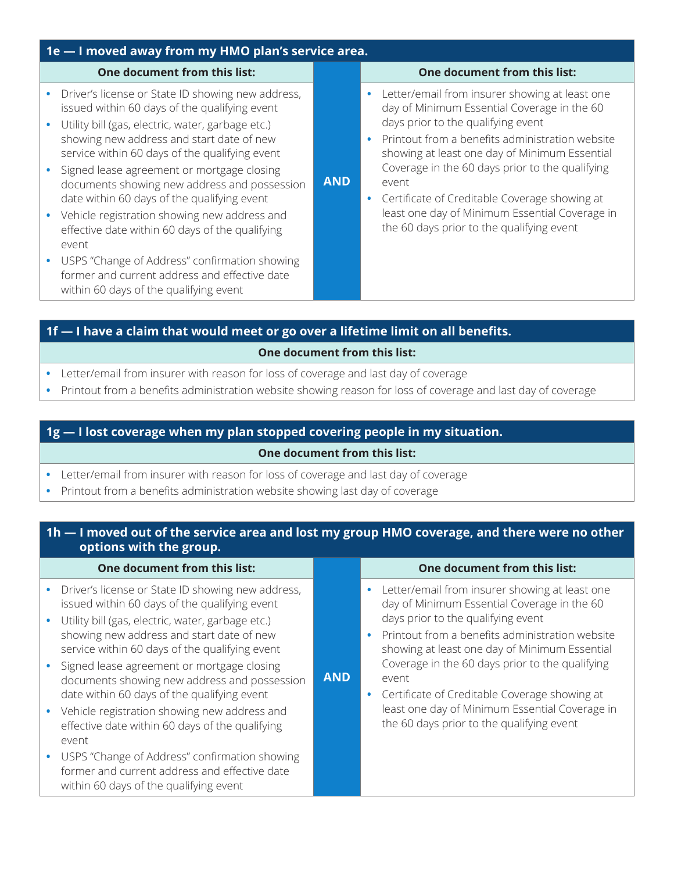| 1e - I moved away from my HMO plan's service area.                                                                                                                                                                                                                                                                                                                                                                                                                                                                                                                                                                                                                               |            |                                                                                                                                                                                                                                                                                                                                                                                                                                                                  |
|----------------------------------------------------------------------------------------------------------------------------------------------------------------------------------------------------------------------------------------------------------------------------------------------------------------------------------------------------------------------------------------------------------------------------------------------------------------------------------------------------------------------------------------------------------------------------------------------------------------------------------------------------------------------------------|------------|------------------------------------------------------------------------------------------------------------------------------------------------------------------------------------------------------------------------------------------------------------------------------------------------------------------------------------------------------------------------------------------------------------------------------------------------------------------|
| One document from this list:                                                                                                                                                                                                                                                                                                                                                                                                                                                                                                                                                                                                                                                     |            | One document from this list:                                                                                                                                                                                                                                                                                                                                                                                                                                     |
| Driver's license or State ID showing new address,<br>$\bullet$<br>issued within 60 days of the qualifying event<br>• Utility bill (gas, electric, water, garbage etc.)<br>showing new address and start date of new<br>service within 60 days of the qualifying event<br>• Signed lease agreement or mortgage closing<br>documents showing new address and possession<br>date within 60 days of the qualifying event<br>• Vehicle registration showing new address and<br>effective date within 60 days of the qualifying<br>event<br>• USPS "Change of Address" confirmation showing<br>former and current address and effective date<br>within 60 days of the qualifying event | <b>AND</b> | Letter/email from insurer showing at least one<br>$\bullet$<br>day of Minimum Essential Coverage in the 60<br>days prior to the qualifying event<br>Printout from a benefits administration website<br>showing at least one day of Minimum Essential<br>Coverage in the 60 days prior to the qualifying<br>event<br>Certificate of Creditable Coverage showing at<br>least one day of Minimum Essential Coverage in<br>the 60 days prior to the qualifying event |
|                                                                                                                                                                                                                                                                                                                                                                                                                                                                                                                                                                                                                                                                                  |            |                                                                                                                                                                                                                                                                                                                                                                                                                                                                  |

## **1f — I have a claim that would meet or go over a lifetime limit on all benefits.**

#### **One document from this list:**

- **•** Letter/email from insurer with reason for loss of coverage and last day of coverage
- **•** Printout from a benefits administration website showing reason for loss of coverage and last day of coverage

## **1g — I lost coverage when my plan stopped covering people in my situation.**

#### **One document from this list:**

- **•** Letter/email from insurer with reason for loss of coverage and last day of coverage
- **•** Printout from a benefits administration website showing last day of coverage

## **1h — I moved out of the service area and lost my group HMO coverage, and there were no other options with the group.**

| One document from this list:                                                                                                                                                                                                                                                                                                                                                                                                                                                                                                                                                                                                                                          |            | One document from this list:                                                                                                                                                                                                                                                                                                                                                                                                                              |
|-----------------------------------------------------------------------------------------------------------------------------------------------------------------------------------------------------------------------------------------------------------------------------------------------------------------------------------------------------------------------------------------------------------------------------------------------------------------------------------------------------------------------------------------------------------------------------------------------------------------------------------------------------------------------|------------|-----------------------------------------------------------------------------------------------------------------------------------------------------------------------------------------------------------------------------------------------------------------------------------------------------------------------------------------------------------------------------------------------------------------------------------------------------------|
| • Driver's license or State ID showing new address,<br>issued within 60 days of the qualifying event<br>· Utility bill (gas, electric, water, garbage etc.)<br>showing new address and start date of new<br>service within 60 days of the qualifying event<br>• Signed lease agreement or mortgage closing<br>documents showing new address and possession<br>date within 60 days of the qualifying event<br>• Vehicle registration showing new address and<br>effective date within 60 days of the qualifying<br>event<br>• USPS "Change of Address" confirmation showing<br>former and current address and effective date<br>within 60 days of the qualifying event | <b>AND</b> | • Letter/email from insurer showing at least one<br>day of Minimum Essential Coverage in the 60<br>days prior to the qualifying event<br>• Printout from a benefits administration website<br>showing at least one day of Minimum Essential<br>Coverage in the 60 days prior to the qualifying<br>event<br>• Certificate of Creditable Coverage showing at<br>least one day of Minimum Essential Coverage in<br>the 60 days prior to the qualifying event |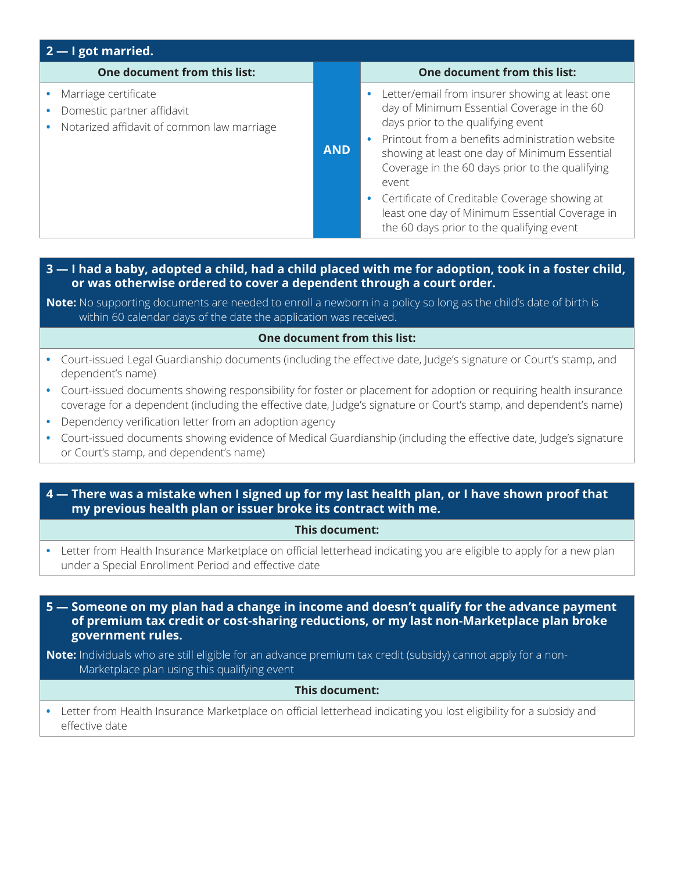| $2 - I$ got married.                                                                             |            |                                                                                                                                                                                                                                                                                                                                                                                                                                                     |  |
|--------------------------------------------------------------------------------------------------|------------|-----------------------------------------------------------------------------------------------------------------------------------------------------------------------------------------------------------------------------------------------------------------------------------------------------------------------------------------------------------------------------------------------------------------------------------------------------|--|
| One document from this list:                                                                     |            | One document from this list:                                                                                                                                                                                                                                                                                                                                                                                                                        |  |
| Marriage certificate<br>Domestic partner affidavit<br>Notarized affidavit of common law marriage | <b>AND</b> | Letter/email from insurer showing at least one<br>day of Minimum Essential Coverage in the 60<br>days prior to the qualifying event<br>Printout from a benefits administration website<br>showing at least one day of Minimum Essential<br>Coverage in the 60 days prior to the qualifying<br>event<br>Certificate of Creditable Coverage showing at<br>least one day of Minimum Essential Coverage in<br>the 60 days prior to the qualifying event |  |

#### **3 — I had a baby, adopted a child, had a child placed with me for adoption, took in a foster child, or was otherwise ordered to cover a dependent through a court order.**

**Note:** No supporting documents are needed to enroll a newborn in a policy so long as the child's date of birth is within 60 calendar days of the date the application was received.

#### **One document from this list:**

- **•** Court-issued Legal Guardianship documents (including the effective date, Judge's signature or Court's stamp, and dependent's name)
- **•** Court-issued documents showing responsibility for foster or placement for adoption or requiring health insurance coverage for a dependent (including the effective date, Judge's signature or Court's stamp, and dependent's name)
- **•** Dependency verification letter from an adoption agency
- **•** Court-issued documents showing evidence of Medical Guardianship (including the effective date, Judge's signature or Court's stamp, and dependent's name)
- **4 There was a mistake when I signed up for my last health plan, or I have shown proof that my previous health plan or issuer broke its contract with me.**

#### **This document:**

**•** Letter from Health Insurance Marketplace on official letterhead indicating you are eligible to apply for a new plan under a Special Enrollment Period and effective date

**5 — Someone on my plan had a change in income and doesn't qualify for the advance payment of premium tax credit or cost-sharing reductions, or my last non-Marketplace plan broke government rules.**

**Note:** Individuals who are still eligible for an advance premium tax credit (subsidy) cannot apply for a non-Marketplace plan using this qualifying event

#### **This document:**

**•** Letter from Health Insurance Marketplace on official letterhead indicating you lost eligibility for a subsidy and effective date